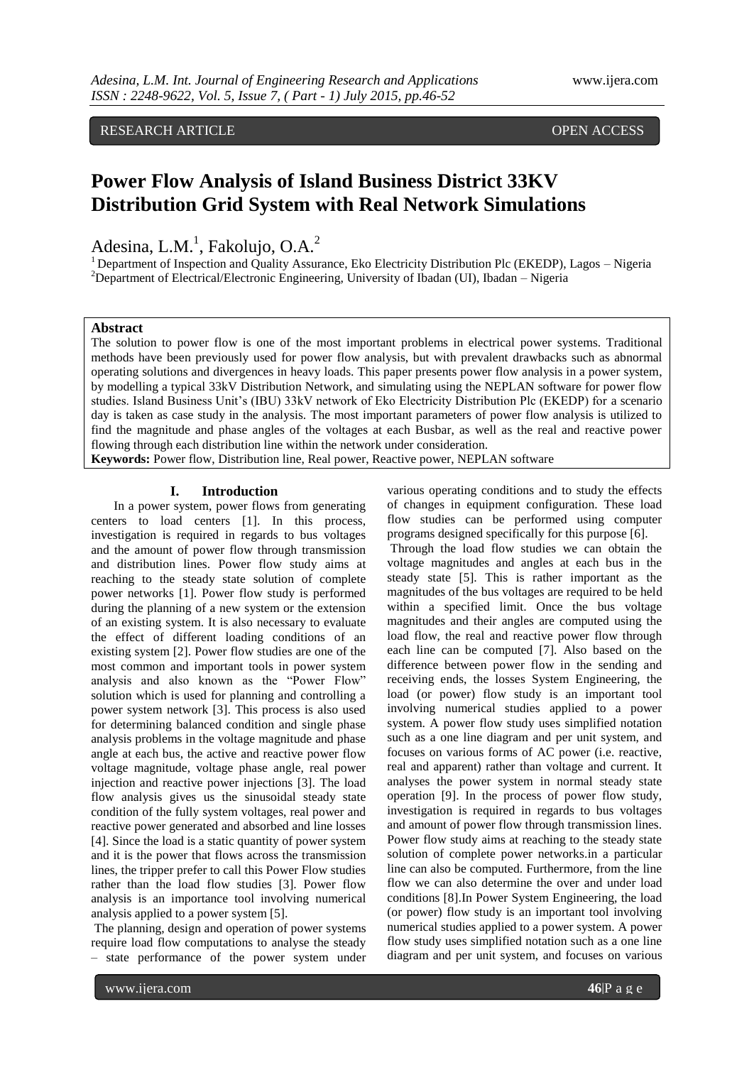# RESEARCH ARTICLE OPEN ACCESS

# **Power Flow Analysis of Island Business District 33KV Distribution Grid System with Real Network Simulations**

Adesina, L.M.<sup>1</sup>, Fakolujo, O.A.<sup>2</sup>

<sup>1</sup> Department of Inspection and Quality Assurance, Eko Electricity Distribution Plc (EKEDP), Lagos – Nigeria <sup>2</sup>Department of Electrical/Electronic Engineering, University of Ibadan (UI), Ibadan – Nigeria

# **Abstract**

The solution to power flow is one of the most important problems in electrical power systems. Traditional methods have been previously used for power flow analysis, but with prevalent drawbacks such as abnormal operating solutions and divergences in heavy loads. This paper presents power flow analysis in a power system, by modelling a typical 33kV Distribution Network, and simulating using the NEPLAN software for power flow studies. Island Business Unit's (IBU) 33kV network of Eko Electricity Distribution Plc (EKEDP) for a scenario day is taken as case study in the analysis. The most important parameters of power flow analysis is utilized to find the magnitude and phase angles of the voltages at each Busbar, as well as the real and reactive power flowing through each distribution line within the network under consideration.

**Keywords:** Power flow, Distribution line, Real power, Reactive power, NEPLAN software

# **I. Introduction**

In a power system, power flows from generating centers to load centers [1]. In this process, investigation is required in regards to bus voltages and the amount of power flow through transmission and distribution lines. Power flow study aims at reaching to the steady state solution of complete power networks [1]. Power flow study is performed during the planning of a new system or the extension of an existing system. It is also necessary to evaluate the effect of different loading conditions of an existing system [2]. Power flow studies are one of the most common and important tools in power system analysis and also known as the "Power Flow" solution which is used for planning and controlling a power system network [3]. This process is also used for determining balanced condition and single phase analysis problems in the voltage magnitude and phase angle at each bus, the active and reactive power flow voltage magnitude, voltage phase angle, real power injection and reactive power injections [3]. The load flow analysis gives us the sinusoidal steady state condition of the fully system voltages, real power and reactive power generated and absorbed and line losses [4]. Since the load is a static quantity of power system and it is the power that flows across the transmission lines, the tripper prefer to call this Power Flow studies rather than the load flow studies [3]. Power flow analysis is an importance tool involving numerical analysis applied to a power system [5].

The planning, design and operation of power systems require load flow computations to analyse the steady – state performance of the power system under

various operating conditions and to study the effects of changes in equipment configuration. These load flow studies can be performed using computer programs designed specifically for this purpose [6].

Through the load flow studies we can obtain the voltage magnitudes and angles at each bus in the steady state [5]. This is rather important as the magnitudes of the bus voltages are required to be held within a specified limit. Once the bus voltage magnitudes and their angles are computed using the load flow, the real and reactive power flow through each line can be computed [7]. Also based on the difference between power flow in the sending and receiving ends, the losses System Engineering, the load (or power) flow study is an important tool involving numerical studies applied to a power system. A power flow study uses simplified notation such as a one line diagram and per unit system, and focuses on various forms of AC power (i.e. reactive, real and apparent) rather than voltage and current. It analyses the power system in normal steady state operation [9]. In the process of power flow study, investigation is required in regards to bus voltages and amount of power flow through transmission lines. Power flow study aims at reaching to the steady state solution of complete power networks.in a particular line can also be computed. Furthermore, from the line flow we can also determine the over and under load conditions [8].In Power System Engineering, the load (or power) flow study is an important tool involving numerical studies applied to a power system. A power flow study uses simplified notation such as a one line diagram and per unit system, and focuses on various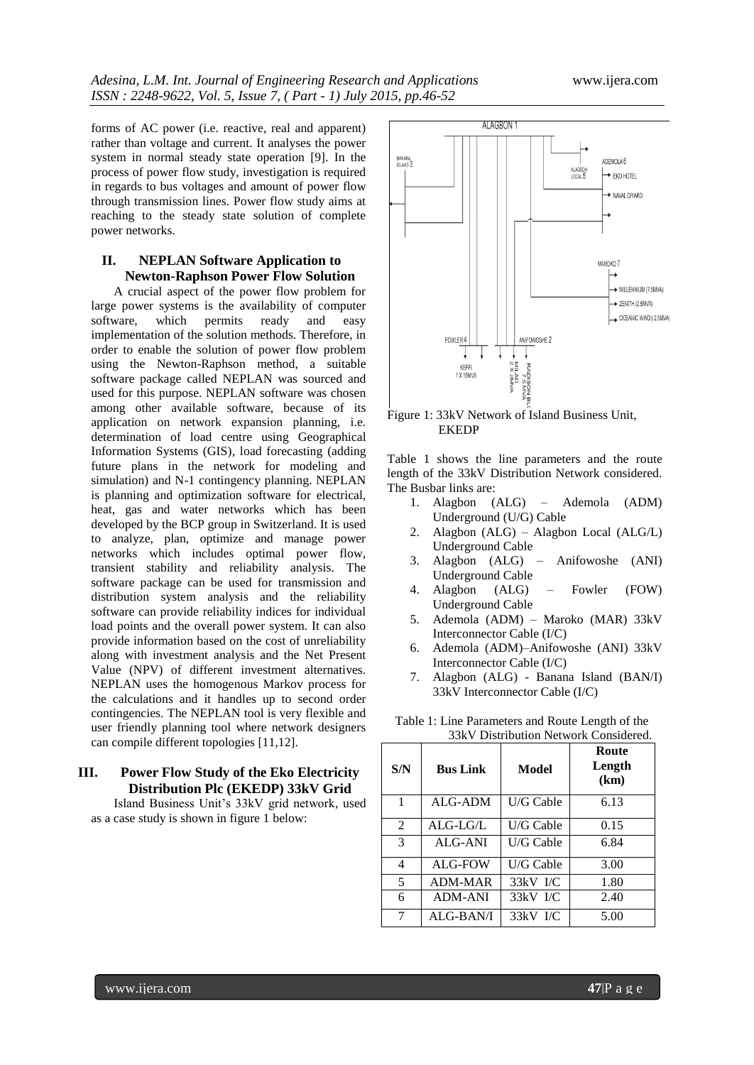forms of AC power (i.e. reactive, real and apparent) rather than voltage and current. It analyses the power system in normal steady state operation [9]. In the process of power flow study, investigation is required in regards to bus voltages and amount of power flow through transmission lines. Power flow study aims at reaching to the steady state solution of complete power networks.

# **II. NEPLAN Software Application to Newton-Raphson Power Flow Solution**

A crucial aspect of the power flow problem for large power systems is the availability of computer software, which permits ready and easy implementation of the solution methods. Therefore, in order to enable the solution of power flow problem using the Newton-Raphson method, a suitable software package called NEPLAN was sourced and used for this purpose. NEPLAN software was chosen among other available software, because of its application on network expansion planning, i.e. determination of load centre using Geographical Information Systems (GIS), load forecasting (adding future plans in the network for modeling and simulation) and N-1 contingency planning. NEPLAN is planning and optimization software for electrical, heat, gas and water networks which has been developed by the BCP group in Switzerland. It is used to analyze, plan, optimize and manage power networks which includes optimal power flow, transient stability and reliability analysis. The software package can be used for transmission and distribution system analysis and the reliability software can provide reliability indices for individual load points and the overall power system. It can also provide information based on the cost of unreliability along with investment analysis and the Net Present Value (NPV) of different investment alternatives. NEPLAN uses the homogenous Markov process for the calculations and it handles up to second order contingencies. The NEPLAN tool is very flexible and user friendly planning tool where network designers can compile different topologies [11,12].

# **III. Power Flow Study of the Eko Electricity Distribution Plc (EKEDP) 33kV Grid**

Island Business Unit's 33kV grid network, used as a case study is shown in figure 1 below:



Figure 1: 33kV Network of Island Business Unit, EKEDP

Table 1 shows the line parameters and the route length of the 33kV Distribution Network considered. The Busbar links are:

- 1. Alagbon (ALG) Ademola (ADM) Underground (U/G) Cable
- 2. Alagbon (ALG) Alagbon Local (ALG/L) Underground Cable
- 3. Alagbon (ALG) Anifowoshe (ANI) Underground Cable
- 4. Alagbon (ALG) Fowler (FOW) Underground Cable
- 5. Ademola (ADM) Maroko (MAR) 33kV Interconnector Cable (I/C)
- 6. Ademola (ADM)–Anifowoshe (ANI) 33kV Interconnector Cable (I/C)
- 7. Alagbon (ALG) Banana Island (BAN/I) 33kV Interconnector Cable (I/C)

| S/N            | <b>Bus Link</b> | Model      | Route<br>Length<br>(km) |
|----------------|-----------------|------------|-------------------------|
| 1              | ALG-ADM         | U/G Cable  | 6.13                    |
| 2              | ALG-LG/L        | U/G Cable  | 0.15                    |
| 3              | <b>ALG-ANI</b>  | U/G Cable  | 6.84                    |
| $\overline{4}$ | ALG-FOW         | U/G Cable  | 3.00                    |
| 5              | ADM-MAR         | 33kV I/C   | 1.80                    |
| 6              | <b>ADM-ANI</b>  | $33kV$ I/C | 2.40                    |
| 7              | ALG-BAN/I       | 33kV I/C   | 5.00                    |

Table 1: Line Parameters and Route Length of the 33kV Distribution Network Considered.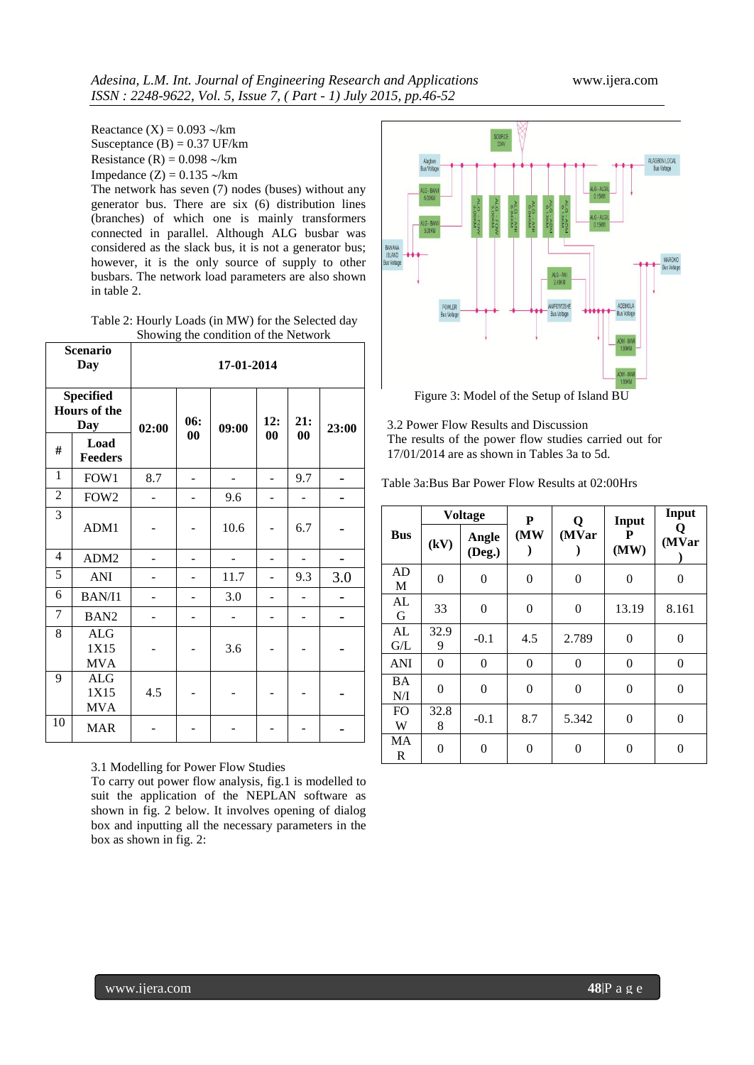Reactance  $(X) = 0.093$   $\sim$ /km Susceptance  $(B) = 0.37$  UF/km Resistance (R) =  $0.098 \sim$ /km Impedance  $(Z) = 0.135 \sim/km$ The network has seven (7) nodes (buses) without any generator bus. There are six (6) distribution lines (branches) of which one is mainly transformers connected in parallel. Although ALG busbar was considered as the slack bus, it is not a generator bus; however, it is the only source of supply to other busbars. The network load parameters are also shown in table 2.

Table 2: Hourly Loads (in MW) for the Selected day Showing the condition of the Network

|                | <b>Scenario</b><br>Day                                | 17-01-2014 |     |       |     |     |       |
|----------------|-------------------------------------------------------|------------|-----|-------|-----|-----|-------|
|                | <b>Specified</b><br><b>Hours</b> of the<br><b>Day</b> | 02:00      | 06: | 09:00 | 12: | 21: | 23:00 |
| #              | Load<br>Feeders                                       |            | 00  |       | 00  | 00  |       |
| 1              | FOW1                                                  | 8.7        |     |       |     | 9.7 |       |
| 2              | FOW <sub>2</sub>                                      |            |     | 9.6   |     |     |       |
| $\overline{3}$ | ADM1                                                  |            |     | 10.6  |     | 6.7 |       |
| 4              | ADM <sub>2</sub>                                      |            |     |       |     |     |       |
| 5              | <b>ANI</b>                                            |            |     | 11.7  |     | 9.3 | 3.0   |
| 6              | BAN/I1                                                |            |     | 3.0   |     |     |       |
| 7              | BAN <sub>2</sub>                                      |            |     |       |     |     |       |
| 8              | <b>ALG</b><br>1X15<br><b>MVA</b>                      |            |     | 3.6   |     |     |       |
| 9              | ALG<br>1X15<br><b>MVA</b>                             | 4.5        |     |       |     |     |       |
| 10             | <b>MAR</b>                                            |            |     |       |     |     |       |

# 3.1 Modelling for Power Flow Studies

To carry out power flow analysis, fig.1 is modelled to suit the application of the NEPLAN software as shown in fig. 2 below. It involves opening of dialog box and inputting all the necessary parameters in the box as shown in fig. 2:



Figure 3: Model of the Setup of Island BU

3.2 Power Flow Results and Discussion The results of the power flow studies carried out for 17/01/2014 are as shown in Tables 3a to 5d.

|  |  |  | Table 3a:Bus Bar Power Flow Results at 02:00Hrs |
|--|--|--|-------------------------------------------------|
|  |  |  |                                                 |

|                     |                                 | <b>Voltage</b> | P                | Q              | Input          | Input            |
|---------------------|---------------------------------|----------------|------------------|----------------|----------------|------------------|
| <b>Bus</b>          | (MW)<br>Angle<br>(kV)<br>(Deg.) |                | (MVar            | P<br>(MW)      | 0<br>(MVar     |                  |
| AD<br>M             | $\overline{0}$                  | $\overline{0}$ | 0                | $\overline{0}$ | $\overline{0}$ | $\overline{0}$   |
| AL<br>G             | 33                              | $\overline{0}$ | 0                | 0              | 13.19          | 8.161            |
| AL<br>G/L           | 32.9<br>9                       | $-0.1$         | 4.5              | 2.789          | $\overline{0}$ | $\boldsymbol{0}$ |
| <b>ANI</b>          | 0                               | $\overline{0}$ | $\boldsymbol{0}$ | $\theta$       | $\overline{0}$ | $\boldsymbol{0}$ |
| <b>BA</b><br>N/I    | $\overline{0}$                  | $\overline{0}$ | $\boldsymbol{0}$ | $\theta$       | $\overline{0}$ | $\boldsymbol{0}$ |
| F <sub>O</sub><br>W | 32.8<br>8                       | $-0.1$         | 8.7              | 5.342          | $\overline{0}$ | $\overline{0}$   |
| MA<br>R             | $\overline{0}$                  | $\overline{0}$ | 0                | $\overline{0}$ | $\overline{0}$ | $\overline{0}$   |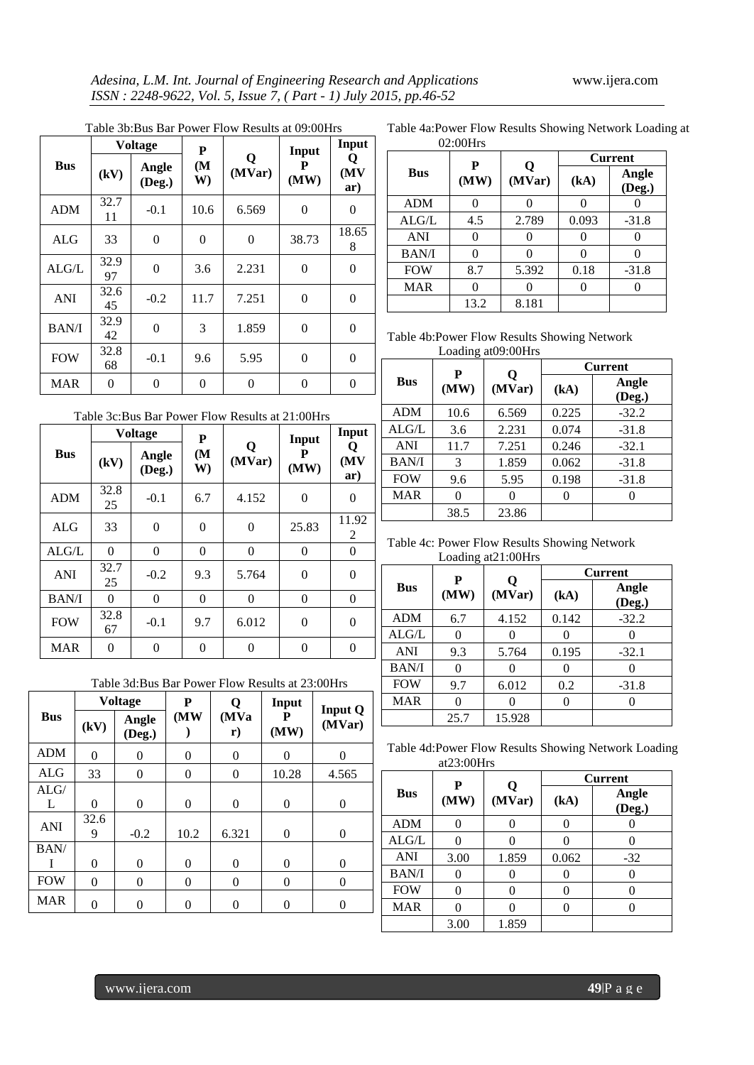| Table 3b:Bus Bar Power Flow Results at 09:00Hrs |  |  |  |
|-------------------------------------------------|--|--|--|

|              |            | <b>Voltage</b>  | P                       |                | Input          | Input           |
|--------------|------------|-----------------|-------------------------|----------------|----------------|-----------------|
| <b>Bus</b>   | (kV)       | Angle<br>(Deg.) | (M <sup>2</sup> )<br>W) | Q<br>(MVar)    | P<br>(MW)      | v<br>(MV<br>ar) |
| <b>ADM</b>   | 32.7<br>11 | $-0.1$          | 10.6                    | 6.569          | $\theta$       | 0               |
| <b>ALG</b>   | 33         | $\overline{0}$  | $\overline{0}$          | $\overline{0}$ | 38.73          | 18.65<br>8      |
| ALG/L        | 32.9<br>97 | $\overline{0}$  | 3.6                     | 2.231          | 0              | 0               |
| <b>ANI</b>   | 32.6<br>45 | $-0.2$          | 11.7                    | 7.251          | 0              | 0               |
| <b>BAN/I</b> | 32.9<br>42 | $\overline{0}$  | 3                       | 1.859          | 0              | 0               |
| <b>FOW</b>   | 32.8<br>68 | $-0.1$          | 9.6                     | 5.95           | $\overline{0}$ | 0               |
| <b>MAR</b>   | 0          | $\overline{0}$  | $\overline{0}$          | $\theta$       | $\theta$       | $\overline{0}$  |

Table 4a:Power Flow Results Showing Network Loading at 02:00Hrs

|              | P    |             | <b>Current</b>   |                 |  |  |
|--------------|------|-------------|------------------|-----------------|--|--|
| <b>Bus</b>   | (MW) | Q<br>(MVar) | (kA)             | Angle<br>(Deg.) |  |  |
| <b>ADM</b>   |      |             |                  |                 |  |  |
| ALG/L        | 4.5  | 2.789       | 0.093            | $-31.8$         |  |  |
| <b>ANI</b>   |      |             | 0                |                 |  |  |
| <b>BAN/I</b> |      |             | $\left( \right)$ |                 |  |  |
| <b>FOW</b>   | 8.7  | 5.392       | 0.18             | $-31.8$         |  |  |
| <b>MAR</b>   |      |             |                  |                 |  |  |
|              | 13.2 | 8.181       |                  |                 |  |  |

Table 4b:Power Flow Results Showing Network Loading at09:00Hrs

|              | P                   |       | <b>Current</b> |                 |  |  |
|--------------|---------------------|-------|----------------|-----------------|--|--|
| <b>Bus</b>   | Q<br>(MW)<br>(MVar) |       | (kA)           | Angle<br>(Deg.) |  |  |
| <b>ADM</b>   | 10.6                | 6.569 | 0.225          | $-32.2$         |  |  |
| ALG/L        | 3.6                 | 2.231 | 0.074          | $-31.8$         |  |  |
| <b>ANI</b>   | 11.7                | 7.251 | 0.246          | $-32.1$         |  |  |
| <b>BAN/I</b> | 3                   | 1.859 | 0.062          | $-31.8$         |  |  |
| <b>FOW</b>   | 9.6                 | 5.95  | 0.198          | $-31.8$         |  |  |
| <b>MAR</b>   |                     |       |                |                 |  |  |
|              | 38.5                | 23.86 |                |                 |  |  |

Table 4c: Power Flow Results Showing Network Loading at21:00Hrs

|              | P    |             |          | <b>Current</b>  |
|--------------|------|-------------|----------|-----------------|
| <b>Bus</b>   | (MW) | Q<br>(MVar) | (kA)     | Angle<br>(Deg.) |
| <b>ADM</b>   | 6.7  | 4.152       | 0.142    | $-32.2$         |
| ALG/L        |      |             |          |                 |
| <b>ANI</b>   | 9.3  | 5.764       | 0.195    | $-32.1$         |
| <b>BAN/I</b> |      |             |          |                 |
| <b>FOW</b>   | 9.7  | 6.012       | 0.2      | $-31.8$         |
| <b>MAR</b>   |      |             | $\left($ |                 |
|              | 25.7 | 15.928      |          |                 |

Table 4d:Power Flow Results Showing Network Loading at23:00Hrs

|              | P    |        |       | <b>Current</b>  |
|--------------|------|--------|-------|-----------------|
| <b>Bus</b>   | (MW) | (MVar) | (kA)  | Angle<br>(Deg.) |
| <b>ADM</b>   |      |        |       |                 |
| ALG/L        |      |        |       |                 |
| <b>ANI</b>   | 3.00 | 1.859  | 0.062 | $-32$           |
| <b>BAN/I</b> |      |        |       |                 |
| <b>FOW</b>   |      |        |       |                 |
| <b>MAR</b>   |      |        |       |                 |
|              | 3.00 | 1.859  |       |                 |

Table 3c:Bus Bar Power Flow Results at 21:00Hrs

|              |            | <b>Voltage</b>  | P                                      |          | Input     | Input            |
|--------------|------------|-----------------|----------------------------------------|----------|-----------|------------------|
| <b>Bus</b>   | (kV)       | Angle<br>(Deg.) | Q<br>(M <sup>2</sup> )<br>(MVar)<br>W) |          | P<br>(MW) | Q<br>(MV)<br>ar) |
| <b>ADM</b>   | 32.8<br>25 | $-0.1$          | 6.7                                    | 4.152    | $\theta$  | 0                |
| <b>ALG</b>   | 33         | $\overline{0}$  | 0                                      | $\theta$ | 25.83     | 11.92<br>2       |
| ALG/L        | $\theta$   | $\theta$        | 0                                      | $\theta$ | $\theta$  | $\theta$         |
| <b>ANI</b>   | 32.7<br>25 | $-0.2$          | 9.3                                    | 5.764    | $\theta$  | $\theta$         |
| <b>BAN/I</b> | 0          | $\overline{0}$  | $\overline{0}$                         | $\theta$ | $\Omega$  | $\theta$         |
| <b>FOW</b>   | 32.8<br>67 | $-0.1$          | 9.7                                    | 6.012    | $\theta$  | 0                |
| <b>MAR</b>   | 0          | 0               | $\overline{0}$                         | $\theta$ | 0         | 0                |

|  |  |  | Table 3d:Bus Bar Power Flow Results at 23:00Hrs |
|--|--|--|-------------------------------------------------|
|  |  |  |                                                 |

|            | <b>Voltage</b> |                 | P                | Q              | Input          | <b>Input Q</b> |  |
|------------|----------------|-----------------|------------------|----------------|----------------|----------------|--|
| <b>Bus</b> | (kV)           | Angle<br>(Deg.) | (MW)             | (MVa)<br>r)    | P<br>(MW)      | (MVar)         |  |
| <b>ADM</b> | $\overline{0}$ | $\overline{0}$  | $\overline{0}$   | $\theta$       | $\theta$       | $\theta$       |  |
| <b>ALG</b> | 33             | $\overline{0}$  | $\overline{0}$   | $\overline{0}$ | 10.28          | 4.565          |  |
| ALG/       |                |                 |                  |                |                |                |  |
| L          | $\theta$       | 0               | $\boldsymbol{0}$ | $\overline{0}$ | $\overline{0}$ | $\overline{0}$ |  |
| <b>ANI</b> | 32.6<br>9      | $-0.2$          | 10.2             | 6.321          | $\overline{0}$ | $\overline{0}$ |  |
| BAN/       |                |                 |                  |                |                |                |  |
|            | $\theta$       | $\overline{0}$  | $\theta$         | $\theta$       | $\overline{0}$ | 0              |  |
| <b>FOW</b> | $\theta$       | 0               | $\overline{0}$   | $\overline{0}$ | $\overline{0}$ | $\overline{0}$ |  |
| <b>MAR</b> | $\Omega$       | $\theta$        | $\theta$         | 0              | $\theta$       | 0              |  |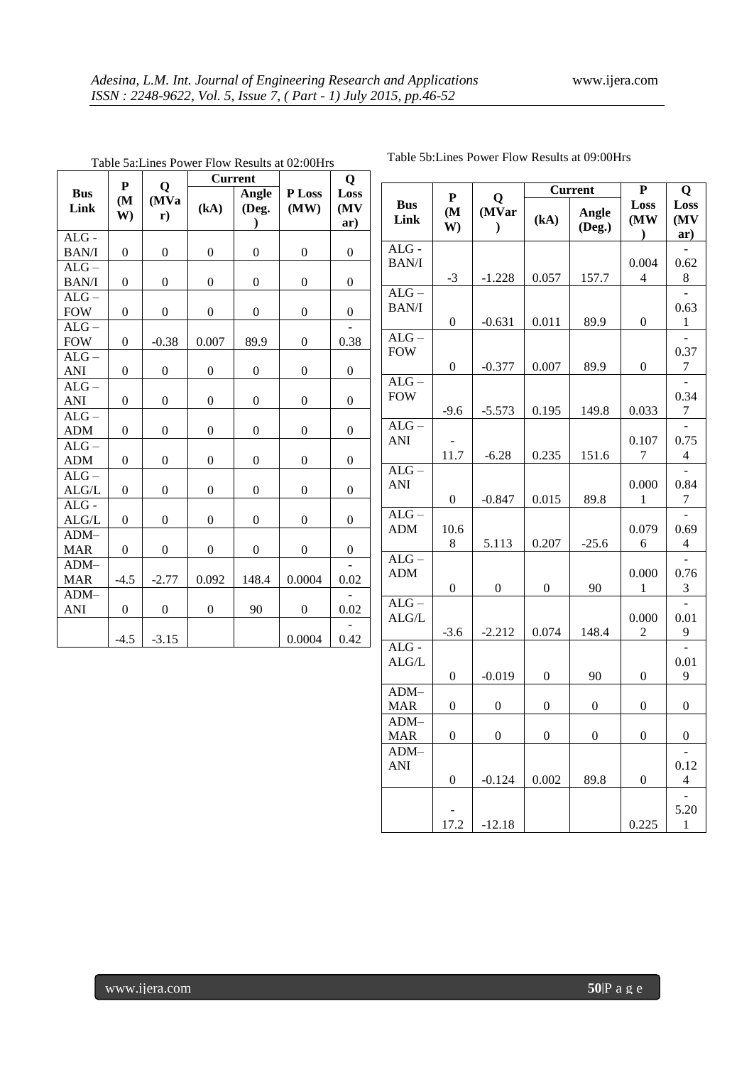|                       | P                       |                             |                  | <b>Current</b>   |                  | $\mathbf Q$         |  |
|-----------------------|-------------------------|-----------------------------|------------------|------------------|------------------|---------------------|--|
| <b>Bus</b><br>Link    | (M <sup>2</sup> )<br>W) | Q<br>(MVa)<br>$\mathbf{r})$ | (kA)             | Angle<br>(Deg.   | P Loss<br>(MW)   | Loss<br>(MV)<br>ar) |  |
| $ALG$ -               |                         |                             |                  |                  |                  |                     |  |
| <b>BAN/I</b>          | $\boldsymbol{0}$        | $\boldsymbol{0}$            | $\boldsymbol{0}$ | $\overline{0}$   | $\boldsymbol{0}$ | 0                   |  |
| $ALG -$               |                         |                             |                  |                  |                  |                     |  |
| <b>BAN/I</b>          | $\boldsymbol{0}$        | $\boldsymbol{0}$            | $\boldsymbol{0}$ | $\boldsymbol{0}$ | $\boldsymbol{0}$ | $\boldsymbol{0}$    |  |
| $ALG -$<br><b>FOW</b> | $\boldsymbol{0}$        | $\boldsymbol{0}$            | $\boldsymbol{0}$ | $\boldsymbol{0}$ | $\boldsymbol{0}$ | $\boldsymbol{0}$    |  |
| $ALG -$<br><b>FOW</b> | $\overline{0}$          | $-0.38$                     | 0.007            | 89.9             | $\boldsymbol{0}$ | 0.38                |  |
| $ALG -$               |                         |                             |                  |                  |                  |                     |  |
| ANI                   | $\overline{0}$          | 0                           | $\boldsymbol{0}$ | $\boldsymbol{0}$ | $\boldsymbol{0}$ | 0                   |  |
| $ALG -$<br>ANI        | $\boldsymbol{0}$        | $\boldsymbol{0}$            | $\boldsymbol{0}$ | $\boldsymbol{0}$ | $\boldsymbol{0}$ | $\boldsymbol{0}$    |  |
| $ALG -$<br><b>ADM</b> | $\overline{0}$          | $\overline{0}$              | $\overline{0}$   | $\boldsymbol{0}$ | $\overline{0}$   | $\overline{0}$      |  |
| $ALG -$<br><b>ADM</b> | $\theta$                | $\overline{0}$              | $\boldsymbol{0}$ | $\mathbf{0}$     | $\boldsymbol{0}$ | $\boldsymbol{0}$    |  |
| $ALG -$<br>ALG/L      | $\boldsymbol{0}$        | $\boldsymbol{0}$            | $\boldsymbol{0}$ | $\boldsymbol{0}$ | $\boldsymbol{0}$ | $\boldsymbol{0}$    |  |
| $ALG$ -<br>ALG/L      | $\overline{0}$          | $\boldsymbol{0}$            | $\overline{0}$   | $\boldsymbol{0}$ | $\mathbf{0}$     | $\overline{0}$      |  |
| $ADM-$<br><b>MAR</b>  | $\overline{0}$          | $\overline{0}$              | $\overline{0}$   | $\overline{0}$   | $\boldsymbol{0}$ | $\boldsymbol{0}$    |  |
| $ADM-$<br><b>MAR</b>  | $-4.5$                  | $-2.77$                     | 0.092            | 148.4            | 0.0004           | 0.02                |  |
| $ADM-$<br><b>ANI</b>  | $\boldsymbol{0}$        | $\boldsymbol{0}$            | $\boldsymbol{0}$ | 90               | $\boldsymbol{0}$ | 0.02                |  |
|                       | $-4.5$                  | $-3.15$                     |                  |                  | 0.0004           | 0.42                |  |

Table 5a:Lines Power Flow Results at 02:00Hrs

Table 5b:Lines Power Flow Results at 09:00Hrs

|                            | $\mathbf{P}$     | Q                      |                  | <b>Current</b>   | ${\bf P}$                     | Q                        |
|----------------------------|------------------|------------------------|------------------|------------------|-------------------------------|--------------------------|
| <b>Bus</b><br>Link         | (M<br>W)         | (MVar<br>$\mathcal{E}$ | (kA)             | Angle<br>(Deg.)  | Loss<br>(MW)<br>$\mathcal{L}$ | Loss<br>(MV<br>ar)       |
| $ALG$ -<br><b>BAN/I</b>    | $-3$             | $-1.228$               | 0.057            | 157.7            | 0.004<br>4                    | 0.62<br>8                |
| $ALG -$<br><b>BAN/I</b>    | $\overline{0}$   | $-0.631$               | 0.011            | 89.9             | $\overline{0}$                | 0.63<br>1                |
| $ALG -$<br><b>FOW</b>      | $\boldsymbol{0}$ | $-0.377$               | 0.007            | 89.9             | $\boldsymbol{0}$              | 0.37<br>$\sqrt{ }$       |
| $ALG -$<br><b>FOW</b>      | $-9.6$           | $-5.573$               | 0.195            | 149.8            | 0.033                         | 0.34<br>$\boldsymbol{7}$ |
| $ALG -$<br>ANI             | 11.7             | $-6.28$                | 0.235            | 151.6            | 0.107<br>7                    | 0.75<br>4                |
| $ALG -$<br><b>ANI</b>      | $\boldsymbol{0}$ | $-0.847$               | 0.015            | 89.8             | 0.000<br>1                    | 0.84<br>$\boldsymbol{7}$ |
| $ALG -$<br><b>ADM</b>      | 10.6<br>8        | 5.113                  | 0.207            | $-25.6$          | 0.079<br>6                    | 0.69<br>4                |
| $ALG -$<br><b>ADM</b>      | $\overline{0}$   | $\boldsymbol{0}$       | $\boldsymbol{0}$ | 90               | 0.000<br>1                    | 0.76<br>3                |
| $ALG -$<br>ALG/L           | $-3.6$           | $-2.212$               | 0.074            | 148.4            | 0.000<br>$\overline{c}$       | 0.01<br>9                |
| $ALG -$<br>ALG/L           | $\overline{0}$   | $-0.019$               | $\theta$         | 90               | $\overline{0}$                | 0.01<br>9                |
| ADM-<br><b>MAR</b>         | $\boldsymbol{0}$ | $\boldsymbol{0}$       | 0                | $\boldsymbol{0}$ | 0                             | $\boldsymbol{0}$         |
| ADM-<br><b>MAR</b><br>ADM- | $\boldsymbol{0}$ | 0                      | $\boldsymbol{0}$ | 0                | $\boldsymbol{0}$              | $\boldsymbol{0}$         |
| <b>ANI</b>                 | $\overline{0}$   | $-0.124$               | 0.002            | 89.8             | $\overline{0}$                | 0.12<br>4                |
|                            | 17.2             | $-12.18$               |                  |                  | 0.225                         | 5.20<br>1                |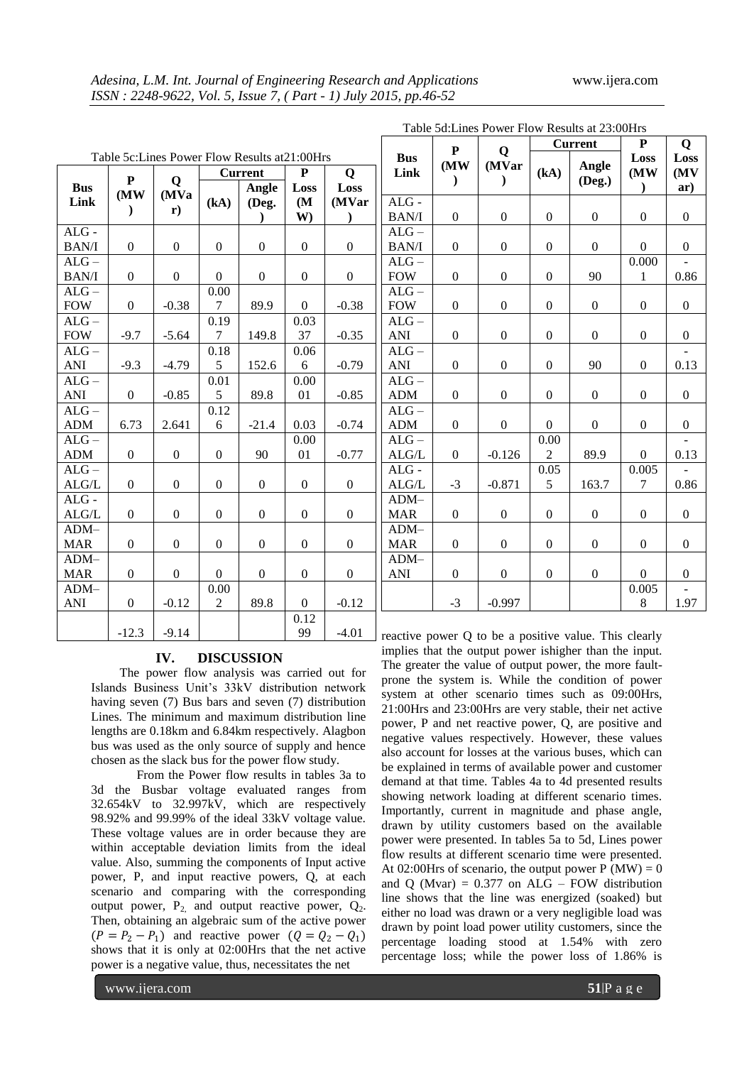|                         |                            |                            | <b>Current</b>   |                  | $\mathbf{P}$     | Q                  |  |
|-------------------------|----------------------------|----------------------------|------------------|------------------|------------------|--------------------|--|
| <b>Bus</b><br>Link      | P<br>(MW)<br>$\mathcal{E}$ | Q<br>(MVa<br>$\mathbf{r})$ | (kA)             | Angle<br>(Deg.   | Loss<br>(M<br>W) | Loss<br>(MVar<br>) |  |
| $ALG$ -<br><b>BAN/I</b> | $\overline{0}$             | $\boldsymbol{0}$           | $\overline{0}$   | $\boldsymbol{0}$ | $\boldsymbol{0}$ | $\boldsymbol{0}$   |  |
| $ALG -$<br><b>BAN/I</b> | $\boldsymbol{0}$           | $\boldsymbol{0}$           | $\boldsymbol{0}$ | $\boldsymbol{0}$ | $\boldsymbol{0}$ | $\boldsymbol{0}$   |  |
| $ALG -$<br><b>FOW</b>   | $\overline{0}$             | $-0.38$                    | 0.00<br>7        | 89.9             | $\Omega$         | $-0.38$            |  |
| $ALG -$<br><b>FOW</b>   | $-9.7$                     | $-5.64$                    | 0.19<br>7        | 149.8            | 0.03<br>37       | $-0.35$            |  |
| $ALG -$<br>ANI          | $-9.3$                     | $-4.79$                    | 0.18<br>5        | 152.6            | 0.06<br>6        | $-0.79$            |  |
| $ALG -$<br><b>ANI</b>   | $\overline{0}$             | $-0.85$                    | 0.01<br>5        | 89.8             | 0.00<br>01       | $-0.85$            |  |
| $ALG -$<br><b>ADM</b>   | 6.73                       | 2.641                      | 0.12<br>6        | $-21.4$          | 0.03             | $-0.74$            |  |
| $ALG -$<br><b>ADM</b>   | $\overline{0}$             | $\overline{0}$             | $\overline{0}$   | 90               | 0.00<br>01       | $-0.77$            |  |
| $ALG -$<br>ALG/L        | $\boldsymbol{0}$           | $\boldsymbol{0}$           | $\boldsymbol{0}$ | 0                | $\boldsymbol{0}$ | $\boldsymbol{0}$   |  |
| $ALG -$<br>ALG/L        | $\boldsymbol{0}$           | $\overline{0}$             | $\theta$         | $\boldsymbol{0}$ | $\mathbf{0}$     | $\theta$           |  |
| $ADM-$<br><b>MAR</b>    | $\boldsymbol{0}$           | $\theta$                   | $\boldsymbol{0}$ | $\boldsymbol{0}$ | $\boldsymbol{0}$ | $\boldsymbol{0}$   |  |
| $ADM-$<br><b>MAR</b>    | $\theta$                   | $\theta$                   | $\Omega$         | $\overline{0}$   | $\overline{0}$   | $\theta$           |  |
| $ADM-$<br>ANI           | $\mathbf{0}$               | $-0.12$                    | 0.00<br>2        | 89.8             | $\Omega$         | $-0.12$            |  |
|                         | $-12.3$                    | $-9.14$                    |                  |                  | 0.12<br>99       | $-4.01$            |  |

### **IV. DISCUSSION**

The power flow analysis was carried out for Islands Business Unit's 33kV distribution network having seven (7) Bus bars and seven (7) distribution Lines. The minimum and maximum distribution line lengths are 0.18km and 6.84km respectively. Alagbon bus was used as the only source of supply and hence chosen as the slack bus for the power flow study.

From the Power flow results in tables 3a to 3d the Busbar voltage evaluated ranges from 32.654kV to 32.997kV, which are respectively 98.92% and 99.99% of the ideal 33kV voltage value. These voltage values are in order because they are within acceptable deviation limits from the ideal value. Also, summing the components of Input active power, P, and input reactive powers, Q, at each scenario and comparing with the corresponding output power,  $P_2$  and output reactive power,  $Q_2$ . Then, obtaining an algebraic sum of the active power  $(P = P_2 - P_1)$  and reactive power  $(Q = Q_2 - Q_1)$ shows that it is only at 02:00Hrs that the net active power is a negative value, thus, necessitates the net

|                    | ${\bf P}$             |                             |                  | <b>Current</b>   | $\mathbf{P}$              | Q                  |
|--------------------|-----------------------|-----------------------------|------------------|------------------|---------------------------|--------------------|
| <b>Bus</b><br>Link | (MW)<br>$\mathcal{E}$ | Q<br>(MVar<br>$\mathcal{E}$ | (kA)             | Angle<br>(Deg.)  | Loss<br>(MW)<br>$\lambda$ | Loss<br>(MV<br>ar) |
| $ALG -$            |                       |                             |                  |                  |                           |                    |
| <b>BAN/I</b>       | $\boldsymbol{0}$      | $\boldsymbol{0}$            | $\boldsymbol{0}$ | $\boldsymbol{0}$ | $\boldsymbol{0}$          | $\boldsymbol{0}$   |
| $ALG -$            |                       |                             |                  |                  |                           |                    |
| <b>BAN/I</b>       | $\boldsymbol{0}$      | $\boldsymbol{0}$            | $\boldsymbol{0}$ | $\boldsymbol{0}$ | $\mathbf{0}$              | $\boldsymbol{0}$   |
| $ALG -$            |                       |                             |                  |                  | 0.000                     |                    |
| <b>FOW</b>         | $\overline{0}$        | $\overline{0}$              | $\boldsymbol{0}$ | 90               | $\mathbf{1}$              | 0.86               |
| $ALG -$            |                       |                             |                  |                  |                           |                    |
| <b>FOW</b>         | $\mathbf{0}$          | $\boldsymbol{0}$            | $\boldsymbol{0}$ | $\overline{0}$   | $\mathbf{0}$              | $\boldsymbol{0}$   |
| $ALG -$            |                       |                             |                  |                  |                           |                    |
| ANI                | $\boldsymbol{0}$      | $\boldsymbol{0}$            | $\boldsymbol{0}$ | $\boldsymbol{0}$ | $\boldsymbol{0}$          | $\boldsymbol{0}$   |
| $ALG -$            |                       |                             |                  |                  |                           |                    |
| ANI                | $\boldsymbol{0}$      | $\boldsymbol{0}$            | $\boldsymbol{0}$ | 90               | $\boldsymbol{0}$          | 0.13               |
| $ALG -$            |                       |                             |                  |                  |                           |                    |
| <b>ADM</b>         | $\boldsymbol{0}$      | $\mathbf{0}$                | $\boldsymbol{0}$ | $\boldsymbol{0}$ | $\mathbf{0}$              | 0                  |
| $ALG -$            |                       |                             |                  |                  |                           |                    |
| <b>ADM</b>         | $\boldsymbol{0}$      | $\boldsymbol{0}$            | $\boldsymbol{0}$ | $\boldsymbol{0}$ | $\boldsymbol{0}$          | $\boldsymbol{0}$   |
| $ALG -$            |                       |                             | 0.00             |                  |                           |                    |
| ALG/L              | $\boldsymbol{0}$      | $-0.126$                    | $\overline{2}$   | 89.9             | $\overline{0}$            | 0.13               |
| $ALG -$            |                       |                             | 0.05             |                  | 0.005                     |                    |
| ALG/L              | $-3$                  | $-0.871$                    | 5                | 163.7            | $\overline{7}$            | 0.86               |
| $ADM-$             |                       |                             |                  |                  |                           |                    |
| <b>MAR</b>         | $\boldsymbol{0}$      | $\boldsymbol{0}$            | $\boldsymbol{0}$ | 0                | 0                         | 0                  |
| $ADM-$             |                       |                             |                  |                  |                           |                    |
| <b>MAR</b>         | $\boldsymbol{0}$      | $\boldsymbol{0}$            | $\boldsymbol{0}$ | $\boldsymbol{0}$ | $\boldsymbol{0}$          | $\boldsymbol{0}$   |
| $ADM-$             |                       |                             |                  |                  |                           |                    |
| <b>ANI</b>         | $\boldsymbol{0}$      | $\boldsymbol{0}$            | $\boldsymbol{0}$ | $\boldsymbol{0}$ | $\mathbf{0}$              | 0                  |
|                    |                       |                             |                  |                  | 0.005                     |                    |
|                    | $-3$                  | $-0.997$                    |                  |                  | 8                         | 1.97               |

eactive power Q to be a positive value. This clearly implies that the output power ishigher than the input. The greater the value of output power, the more faultprone the system is. While the condition of power system at other scenario times such as 09:00Hrs, 21:00Hrs and 23:00Hrs are very stable, their net active power, P and net reactive power, Q, are positive and negative values respectively. However, these values also account for losses at the various buses, which can be explained in terms of available power and customer demand at that time. Tables 4a to 4d presented results showing network loading at different scenario times. Importantly, current in magnitude and phase angle, drawn by utility customers based on the available power were presented. In tables 5a to 5d, Lines power flow results at different scenario time were presented. At 02:00Hrs of scenario, the output power P (MW) = 0 and Q (Mvar) =  $0.377$  on ALG – FOW distribution line shows that the line was energized (soaked) but either no load was drawn or a very negligible load was drawn by point load power utility customers, since the percentage loading stood at 1.54% with zero percentage loss; while the power loss of 1.86% is